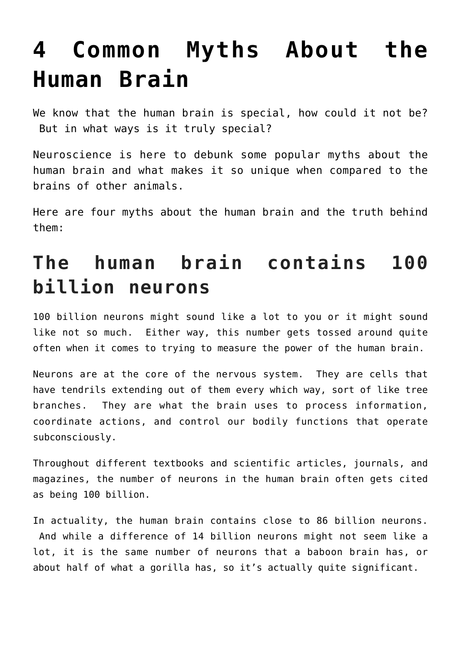# **[4 Common Myths About the](https://intellectualtakeout.org/2016/05/4-common-myths-about-the-human-brain/) [Human Brain](https://intellectualtakeout.org/2016/05/4-common-myths-about-the-human-brain/)**

We know that the human brain is special, how could it not be? But in what ways is it truly special?

Neuroscience is here to debunk some popular myths about the human brain and what makes it so unique when compared to the brains of other animals.

Here are four myths about the human brain and the truth behind them:

### **The human brain contains 100 billion neurons**

100 billion neurons might sound like a lot to you or it might sound like not so much. Either way, this number gets tossed around quite often when it comes to trying to measure the power of the human brain.

Neurons are at the core of the nervous system. They are cells that have tendrils extending out of them every which way, sort of like tree branches. They are what the brain uses to process information, coordinate actions, and control our bodily functions that operate subconsciously.

Throughout different textbooks and scientific articles, journals, and magazines, the number of neurons in the human brain often gets cited as being 100 billion.

In actuality, the human brain contains close to 86 billion neurons. And while a difference of 14 billion neurons might not seem like a lot, it is the same number of neurons that a baboon brain has, or about half of what a gorilla has, so it's actually quite significant.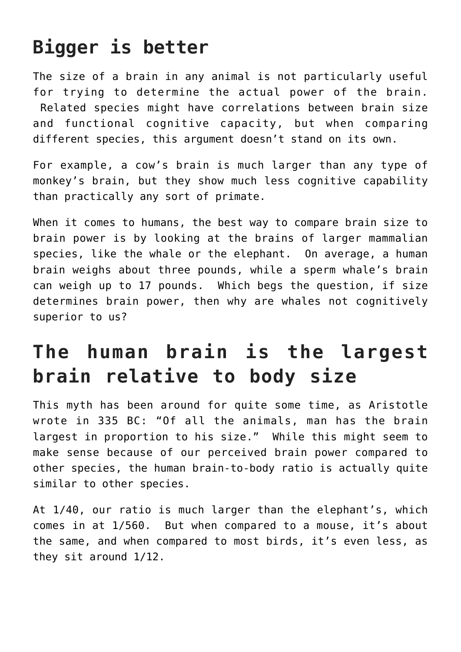### **Bigger is better**

The size of a brain in any animal is not particularly useful for trying to determine the actual power of the brain. Related species might have correlations between brain size and functional cognitive capacity, but when comparing different species, this argument doesn't stand on its own.

For example, a cow's brain is much larger than any type of monkey's brain, but they show much less cognitive capability than practically any sort of primate.

When it comes to humans, the best way to compare brain size to brain power is by looking at the brains of larger mammalian species, like the whale or the elephant. On average, a human brain weighs about three pounds, while a sperm whale's brain can weigh up to 17 pounds. Which begs the question, if size determines brain power, then why are whales not cognitively superior to us?

## **The human brain is the largest brain relative to body size**

This myth has been around for quite some time, as Aristotle wrote in 335 BC: "Of all the animals, man has the brain largest in proportion to his size." While this might seem to make sense because of our perceived brain power compared to other species, the human brain-to-body ratio is actually quite similar to other species.

At 1/40, our ratio is much larger than the elephant's, which comes in at 1/560. But when compared to a mouse, it's about the same, and when compared to most birds, it's even less, as they sit around 1/12.